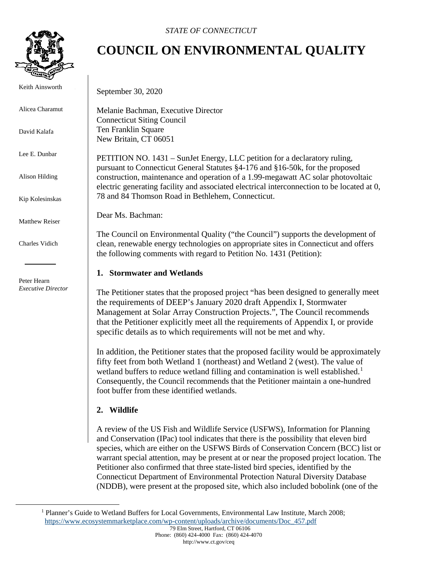

Keith Ainsworth

Alicea Charamut

David Kalafa

Lee E. Dunbar

Alison Hilding

Kip Kolesinskas

Matthew Reiser

Charles Vidich

 Peter Hearn *Executive Director*

# **COUNCIL ON ENVIRONMENTAL QUALITY**

September 30, 2020

Melanie Bachman, Executive Director Connecticut Siting Council Ten Franklin Square New Britain, CT 06051

PETITION NO. 1431 – SunJet Energy, LLC petition for a declaratory ruling, pursuant to Connecticut General Statutes §4-176 and §16-50k, for the proposed construction, maintenance and operation of a 1.99-megawatt AC solar photovoltaic electric generating facility and associated electrical interconnection to be located at 0, 78 and 84 Thomson Road in Bethlehem, Connecticut.

Dear Ms. Bachman:

The Council on Environmental Quality ("the Council") supports the development of clean, renewable energy technologies on appropriate sites in Connecticut and offers the following comments with regard to Petition No. 1431 (Petition):

## **1. Stormwater and Wetlands**

The Petitioner states that the proposed project "has been designed to generally meet the requirements of DEEP's January 2020 draft Appendix I, Stormwater Management at Solar Array Construction Projects.", The Council recommends that the Petitioner explicitly meet all the requirements of Appendix I, or provide specific details as to which requirements will not be met and why.

In addition, the Petitioner states that the proposed facility would be approximately fifty feet from both Wetland 1 (northeast) and Wetland 2 (west). The value of wetland buffers to reduce wetland filling and contamination is well established.<sup>[1](#page-0-0)</sup> Consequently, the Council recommends that the Petitioner maintain a one-hundred foot buffer from these identified wetlands.

## **2. Wildlife**

A review of the US Fish and Wildlife Service (USFWS), Information for Planning and Conservation (IPac) tool indicates that there is the possibility that eleven bird species, which are either on the USFWS Birds of Conservation Concern (BCC) list or warrant special attention, may be present at or near the proposed project location. The Petitioner also confirmed that three state-listed bird species, identified by the Connecticut Department of Environmental Protection Natural Diversity Database (NDDB), were present at the proposed site, which also included bobolink (one of the

<span id="page-0-0"></span><sup>&</sup>lt;sup>1</sup> Planner's Guide to Wetland Buffers for Local Governments, Environmental Law Institute, March 2008; [https://www.ecosystemmarketplace.com/wp-content/uploads/archive/documents/Doc\\_457.pdf](https://www.ecosystemmarketplace.com/wp-content/uploads/archive/documents/Doc_457.pdf)